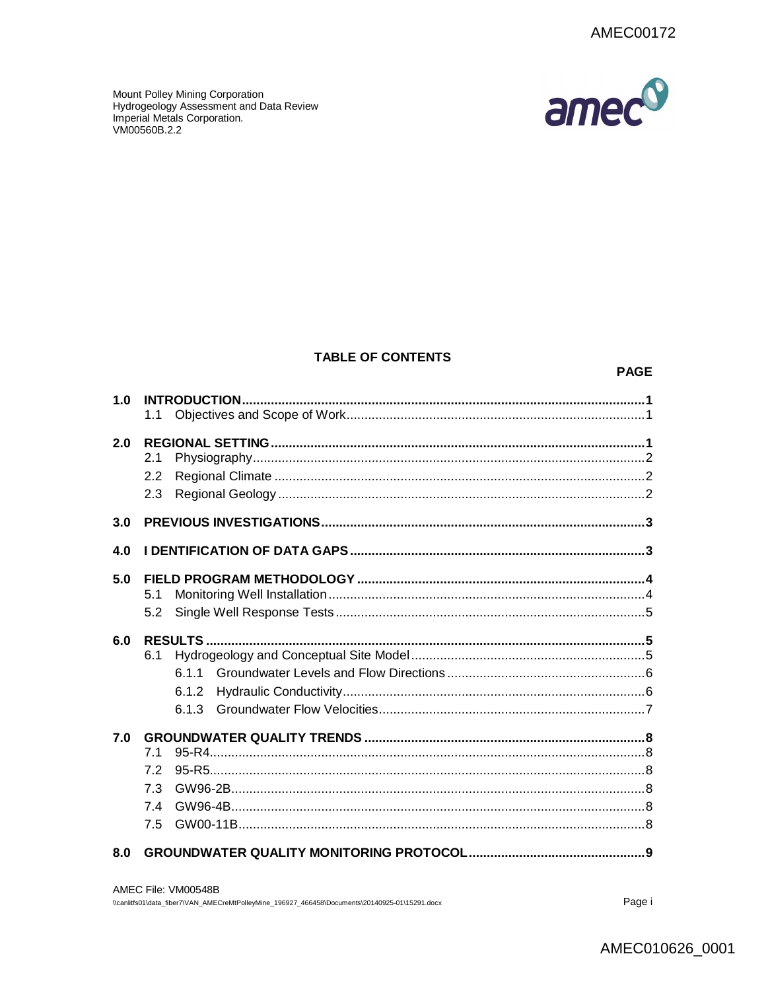

Mount Polley Mining Corporation<br>Hydrogeology Assessment and Data Review Imperial Metals Corporation. VM00560B.2.2

# **TABLE OF CONTENTS**

#### **PAGE**

| 1.0 | 1.1                            |  |
|-----|--------------------------------|--|
| 2.0 | 2.1<br>2.2<br>2.3              |  |
| 3.0 |                                |  |
| 4.0 |                                |  |
| 5.0 | 5.1<br>5.2                     |  |
| 6.0 | 6.1<br>611<br>6.1.2<br>613     |  |
| 7.0 | 7.1<br>7.2<br>7.3<br>74<br>7.5 |  |
| 8.0 |                                |  |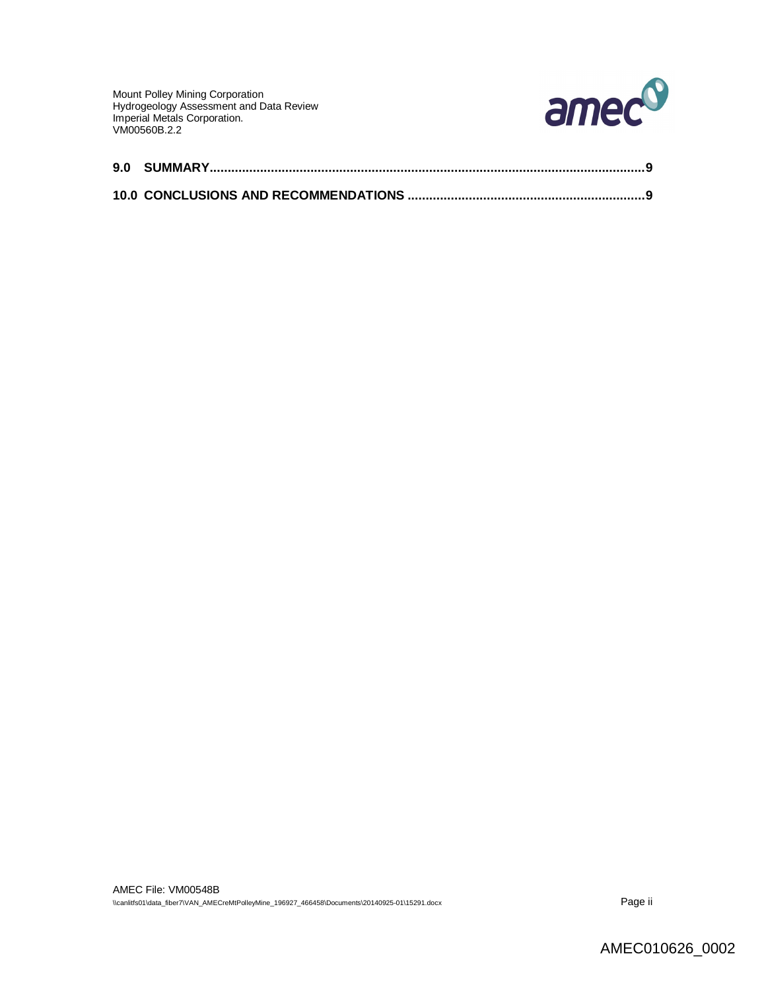Mount Polley Mining Corporation Hydrogeology Assessment and Data Review Imperial Metals Corporation. VM00560B.2.2

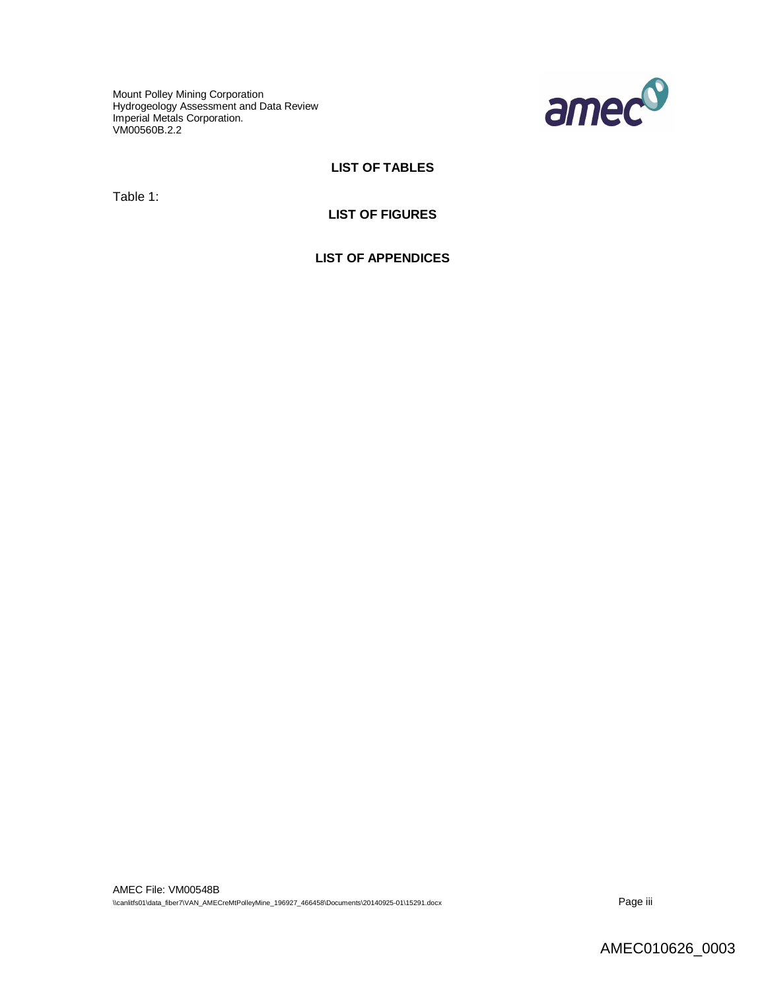Mount Polley Mining Corporation Hydrogeology Assessment and Data Review Imperial Metals Corporation. VM00560B.2.2



# **LIST OF TABLES**

Table 1:

# **LIST OF FIGURES**

**LIST OF APPENDICES**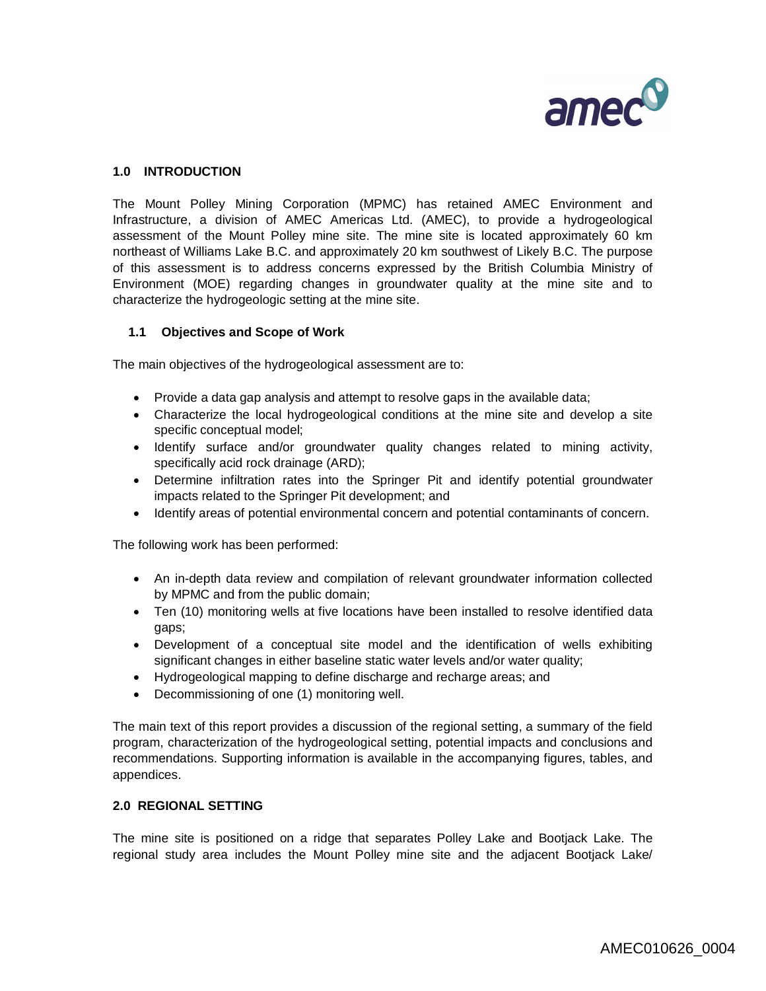

# **1.0 INTRODUCTION**

The Mount Polley Mining Corporation (MPMC) has retained AMEC Environment and Infrastructure, a division of AMEC Americas Ltd. (AMEC), to provide a hydrogeological assessment of the Mount Polley mine site. The mine site is located approximately 60 km northeast of Williams Lake B.C. and approximately 20 km southwest of Likely B.C. The purpose of this assessment is to address concerns expressed by the British Columbia Ministry of Environment (MOE) regarding changes in groundwater quality at the mine site and to characterize the hydrogeologic setting at the mine site.

### **1.1 Objectives and Scope of Work**

The main objectives of the hydrogeological assessment are to:

- Provide a data gap analysis and attempt to resolve gaps in the available data;
- Characterize the local hydrogeological conditions at the mine site and develop a site specific conceptual model;
- Identify surface and/or groundwater quality changes related to mining activity, specifically acid rock drainage (ARD);
- Determine infiltration rates into the Springer Pit and identify potential groundwater impacts related to the Springer Pit development; and
- Identify areas of potential environmental concern and potential contaminants of concern.

The following work has been performed:

- An in-depth data review and compilation of relevant groundwater information collected by MPMC and from the public domain;
- Ten (10) monitoring wells at five locations have been installed to resolve identified data gaps;
- Development of a conceptual site model and the identification of wells exhibiting significant changes in either baseline static water levels and/or water quality;
- Hydrogeological mapping to define discharge and recharge areas; and
- Decommissioning of one (1) monitoring well.

The main text of this report provides a discussion of the regional setting, a summary of the field program, characterization of the hydrogeological setting, potential impacts and conclusions and recommendations. Supporting information is available in the accompanying figures, tables, and appendices.

#### **2.0 REGIONAL SETTING**

The mine site is positioned on a ridge that separates Polley Lake and Bootjack Lake. The regional study area includes the Mount Polley mine site and the adjacent Bootjack Lake/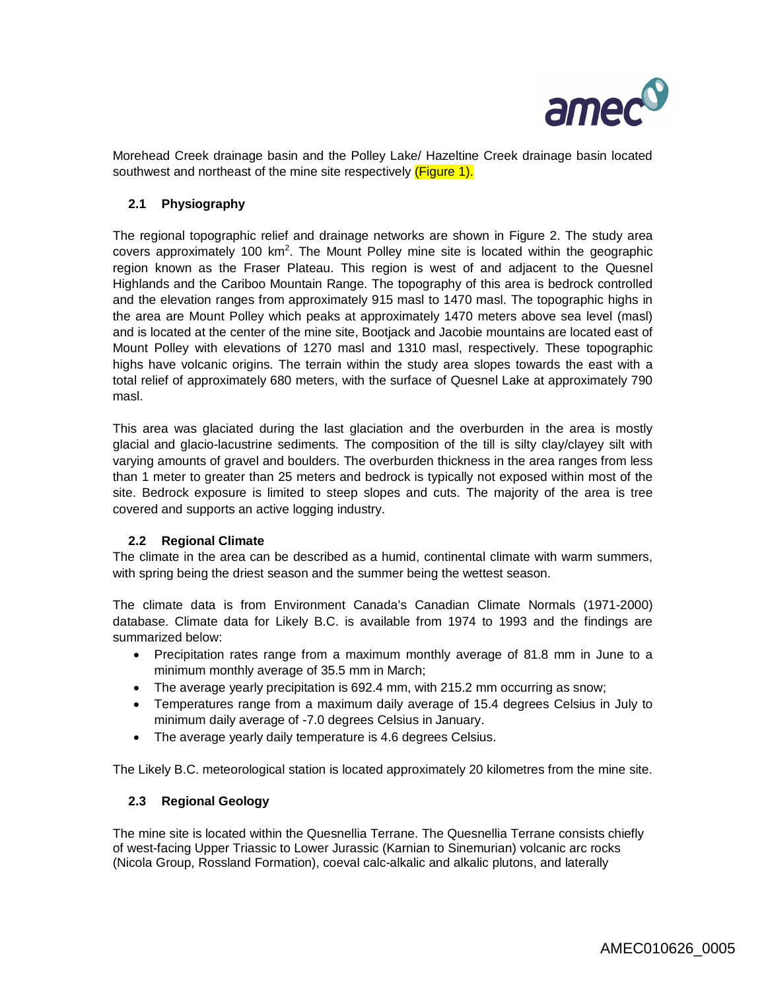

Morehead Creek drainage basin and the Polley Lake/ Hazeltine Creek drainage basin located southwest and northeast of the mine site respectively (Figure 1).

## **2.1 Physiography**

The regional topographic relief and drainage networks are shown in Figure 2. The study area covers approximately 100  $km^2$ . The Mount Polley mine site is located within the geographic region known as the Fraser Plateau. This region is west of and adjacent to the Quesnel Highlands and the Cariboo Mountain Range. The topography of this area is bedrock controlled and the elevation ranges from approximately 915 masl to 1470 masl. The topographic highs in the area are Mount Polley which peaks at approximately 1470 meters above sea level (masl) and is located at the center of the mine site, Bootjack and Jacobie mountains are located east of Mount Polley with elevations of 1270 masl and 1310 masl, respectively. These topographic highs have volcanic origins. The terrain within the study area slopes towards the east with a total relief of approximately 680 meters, with the surface of Quesnel Lake at approximately 790 masl.

This area was glaciated during the last glaciation and the overburden in the area is mostly glacial and glacio-lacustrine sediments. The composition of the till is silty clay/clayey silt with varying amounts of gravel and boulders. The overburden thickness in the area ranges from less than 1 meter to greater than 25 meters and bedrock is typically not exposed within most of the site. Bedrock exposure is limited to steep slopes and cuts. The majority of the area is tree covered and supports an active logging industry.

#### **2.2 Regional Climate**

The climate in the area can be described as a humid, continental climate with warm summers, with spring being the driest season and the summer being the wettest season.

The climate data is from Environment Canada's Canadian Climate Normals (1971-2000) database. Climate data for Likely B.C. is available from 1974 to 1993 and the findings are summarized below:

- Precipitation rates range from a maximum monthly average of 81.8 mm in June to a minimum monthly average of 35.5 mm in March;
- The average yearly precipitation is 692.4 mm, with 215.2 mm occurring as snow;
- Temperatures range from a maximum daily average of 15.4 degrees Celsius in July to minimum daily average of -7.0 degrees Celsius in January.
- The average yearly daily temperature is 4.6 degrees Celsius.

The Likely B.C. meteorological station is located approximately 20 kilometres from the mine site.

#### **2.3 Regional Geology**

The mine site is located within the Quesnellia Terrane. The Quesnellia Terrane consists chiefly of west-facing Upper Triassic to Lower Jurassic (Karnian to Sinemurian) volcanic arc rocks (Nicola Group, Rossland Formation), coeval calc-alkalic and alkalic plutons, and laterally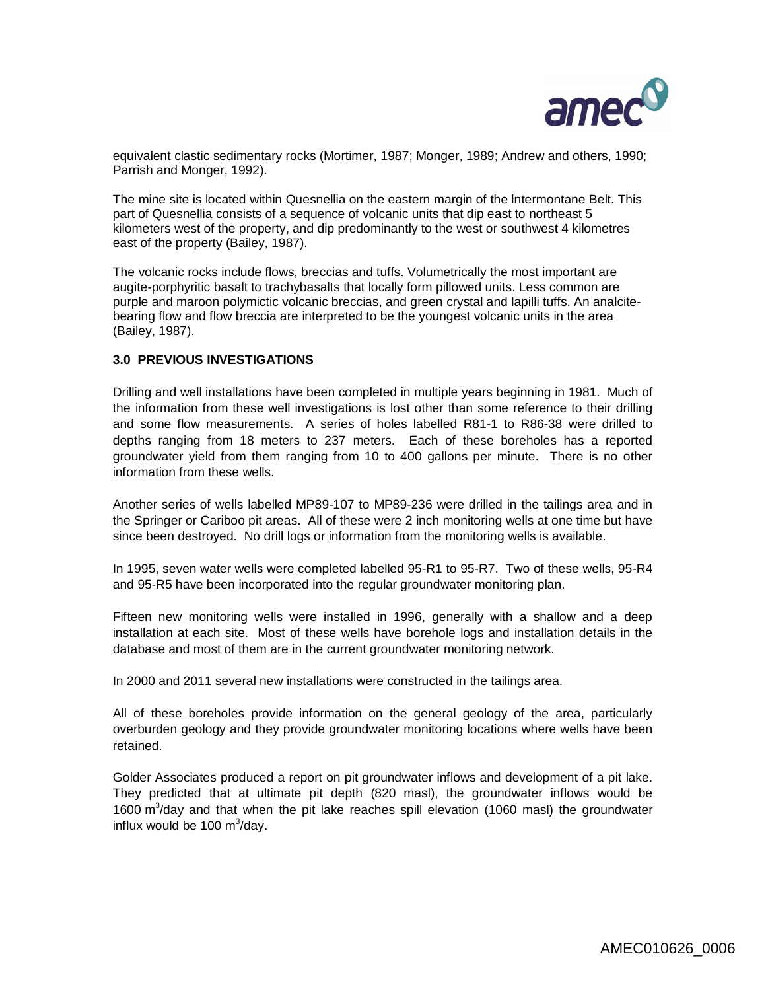

equivalent clastic sedimentary rocks (Mortimer, 1987; Monger, 1989; Andrew and others, 1990; Parrish and Monger, 1992).

The mine site is located within Quesnellia on the eastern margin of the lntermontane Belt. This part of Quesnellia consists of a sequence of volcanic units that dip east to northeast 5 kilometers west of the property, and dip predominantly to the west or southwest 4 kilometres east of the property (Bailey, 1987).

The volcanic rocks include flows, breccias and tuffs. Volumetrically the most important are augite-porphyritic basalt to trachybasalts that locally form pillowed units. Less common are purple and maroon polymictic volcanic breccias, and green crystal and lapilli tuffs. An analcitebearing flow and flow breccia are interpreted to be the youngest volcanic units in the area (Bailey, 1987).

# **3.0 PREVIOUS INVESTIGATIONS**

Drilling and well installations have been completed in multiple years beginning in 1981. Much of the information from these well investigations is lost other than some reference to their drilling and some flow measurements. A series of holes labelled R81-1 to R86-38 were drilled to depths ranging from 18 meters to 237 meters. Each of these boreholes has a reported groundwater yield from them ranging from 10 to 400 gallons per minute. There is no other information from these wells.

Another series of wells labelled MP89-107 to MP89-236 were drilled in the tailings area and in the Springer or Cariboo pit areas. All of these were 2 inch monitoring wells at one time but have since been destroyed. No drill logs or information from the monitoring wells is available.

In 1995, seven water wells were completed labelled 95-R1 to 95-R7. Two of these wells, 95-R4 and 95-R5 have been incorporated into the regular groundwater monitoring plan.

Fifteen new monitoring wells were installed in 1996, generally with a shallow and a deep installation at each site. Most of these wells have borehole logs and installation details in the database and most of them are in the current groundwater monitoring network.

In 2000 and 2011 several new installations were constructed in the tailings area.

All of these boreholes provide information on the general geology of the area, particularly overburden geology and they provide groundwater monitoring locations where wells have been retained.

Golder Associates produced a report on pit groundwater inflows and development of a pit lake. They predicted that at ultimate pit depth (820 masl), the groundwater inflows would be 1600 m<sup>3</sup>/day and that when the pit lake reaches spill elevation (1060 masl) the groundwater influx would be 100  $\text{m}^3$ /day.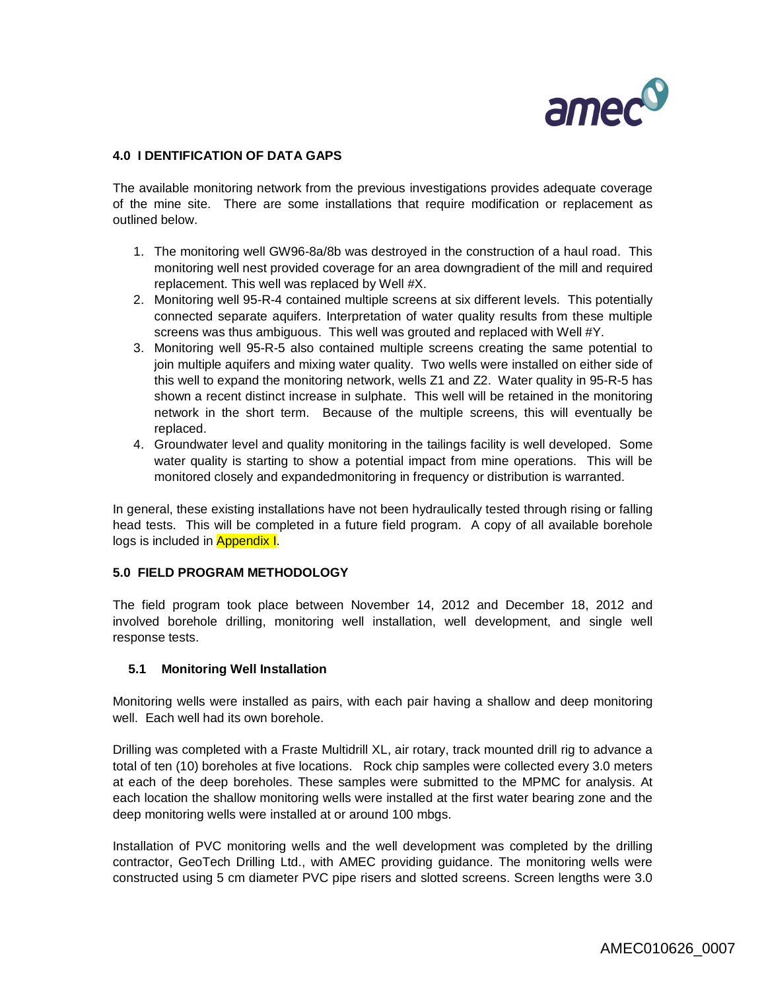

## **4.0 I DENTIFICATION OF DATA GAPS**

The available monitoring network from the previous investigations provides adequate coverage of the mine site. There are some installations that require modification or replacement as outlined below.

- 1. The monitoring well GW96-8a/8b was destroyed in the construction of a haul road. This monitoring well nest provided coverage for an area downgradient of the mill and required replacement. This well was replaced by Well #X.
- 2. Monitoring well 95-R-4 contained multiple screens at six different levels. This potentially connected separate aquifers. Interpretation of water quality results from these multiple screens was thus ambiguous. This well was grouted and replaced with Well #Y.
- 3. Monitoring well 95-R-5 also contained multiple screens creating the same potential to join multiple aquifers and mixing water quality. Two wells were installed on either side of this well to expand the monitoring network, wells Z1 and Z2. Water quality in 95-R-5 has shown a recent distinct increase in sulphate. This well will be retained in the monitoring network in the short term. Because of the multiple screens, this will eventually be replaced.
- 4. Groundwater level and quality monitoring in the tailings facility is well developed. Some water quality is starting to show a potential impact from mine operations. This will be monitored closely and expandedmonitoring in frequency or distribution is warranted.

In general, these existing installations have not been hydraulically tested through rising or falling head tests. This will be completed in a future field program. A copy of all available borehole logs is included in **Appendix I.** 

#### **5.0 FIELD PROGRAM METHODOLOGY**

The field program took place between November 14, 2012 and December 18, 2012 and involved borehole drilling, monitoring well installation, well development, and single well response tests.

#### **5.1 Monitoring Well Installation**

Monitoring wells were installed as pairs, with each pair having a shallow and deep monitoring well. Each well had its own borehole.

Drilling was completed with a Fraste Multidrill XL, air rotary, track mounted drill rig to advance a total of ten (10) boreholes at five locations. Rock chip samples were collected every 3.0 meters at each of the deep boreholes. These samples were submitted to the MPMC for analysis. At each location the shallow monitoring wells were installed at the first water bearing zone and the deep monitoring wells were installed at or around 100 mbgs.

Installation of PVC monitoring wells and the well development was completed by the drilling contractor, GeoTech Drilling Ltd., with AMEC providing guidance. The monitoring wells were constructed using 5 cm diameter PVC pipe risers and slotted screens. Screen lengths were 3.0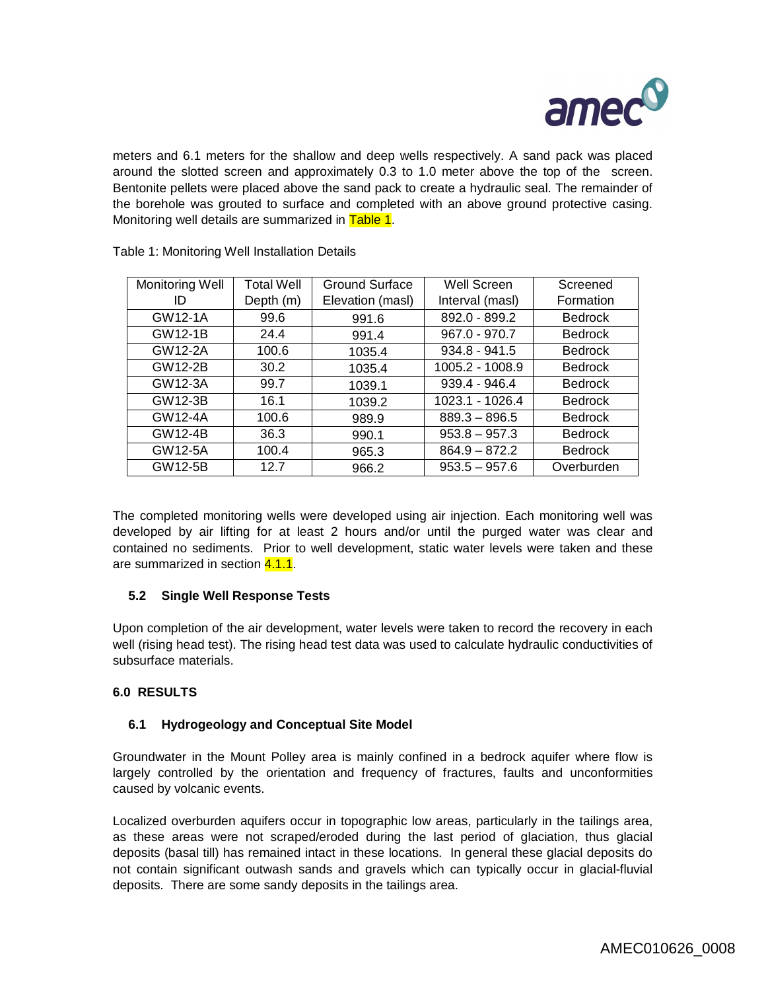

meters and 6.1 meters for the shallow and deep wells respectively. A sand pack was placed around the slotted screen and approximately 0.3 to 1.0 meter above the top of the screen. Bentonite pellets were placed above the sand pack to create a hydraulic seal. The remainder of the borehole was grouted to surface and completed with an above ground protective casing. Monitoring well details are summarized in Table 1.

| Monitoring Well | <b>Total Well</b> | Ground Surface   | Well Screen     | Screened       |
|-----------------|-------------------|------------------|-----------------|----------------|
| ID              | Depth (m)         | Elevation (masl) | Interval (masl) | Formation      |
| GW12-1A         | 99.6              | 991.6            | 892.0 - 899.2   | <b>Bedrock</b> |
| <b>GW12-1B</b>  | 24.4              | 991.4            | 967.0 - 970.7   | <b>Bedrock</b> |
| GW12-2A         | 100.6             | 1035.4           | $934.8 - 941.5$ | <b>Bedrock</b> |
| GW12-2B         | 30.2              | 1035.4           | 1005.2 - 1008.9 | <b>Bedrock</b> |
| GW12-3A         | 99.7              | 1039.1           | 939.4 - 946.4   | <b>Bedrock</b> |
| GW12-3B         | 16.1              | 1039.2           | 1023.1 - 1026.4 | <b>Bedrock</b> |
| GW12-4A         | 100.6             | 989.9            | $889.3 - 896.5$ | <b>Bedrock</b> |
| GW12-4B         | 36.3              | 990.1            | $953.8 - 957.3$ | <b>Bedrock</b> |
| GW12-5A         | 100.4             | 965.3            | $864.9 - 872.2$ | <b>Bedrock</b> |
| GW12-5B         | 12.7              | 966.2            | $953.5 - 957.6$ | Overburden     |

Table 1: Monitoring Well Installation Details

The completed monitoring wells were developed using air injection. Each monitoring well was developed by air lifting for at least 2 hours and/or until the purged water was clear and contained no sediments. Prior to well development, static water levels were taken and these are summarized in section 4.1.1.

## **5.2 Single Well Response Tests**

Upon completion of the air development, water levels were taken to record the recovery in each well (rising head test). The rising head test data was used to calculate hydraulic conductivities of subsurface materials.

## **6.0 RESULTS**

## **6.1 Hydrogeology and Conceptual Site Model**

Groundwater in the Mount Polley area is mainly confined in a bedrock aquifer where flow is largely controlled by the orientation and frequency of fractures, faults and unconformities caused by volcanic events.

Localized overburden aquifers occur in topographic low areas, particularly in the tailings area, as these areas were not scraped/eroded during the last period of glaciation, thus glacial deposits (basal till) has remained intact in these locations. In general these glacial deposits do not contain significant outwash sands and gravels which can typically occur in glacial-fluvial deposits. There are some sandy deposits in the tailings area.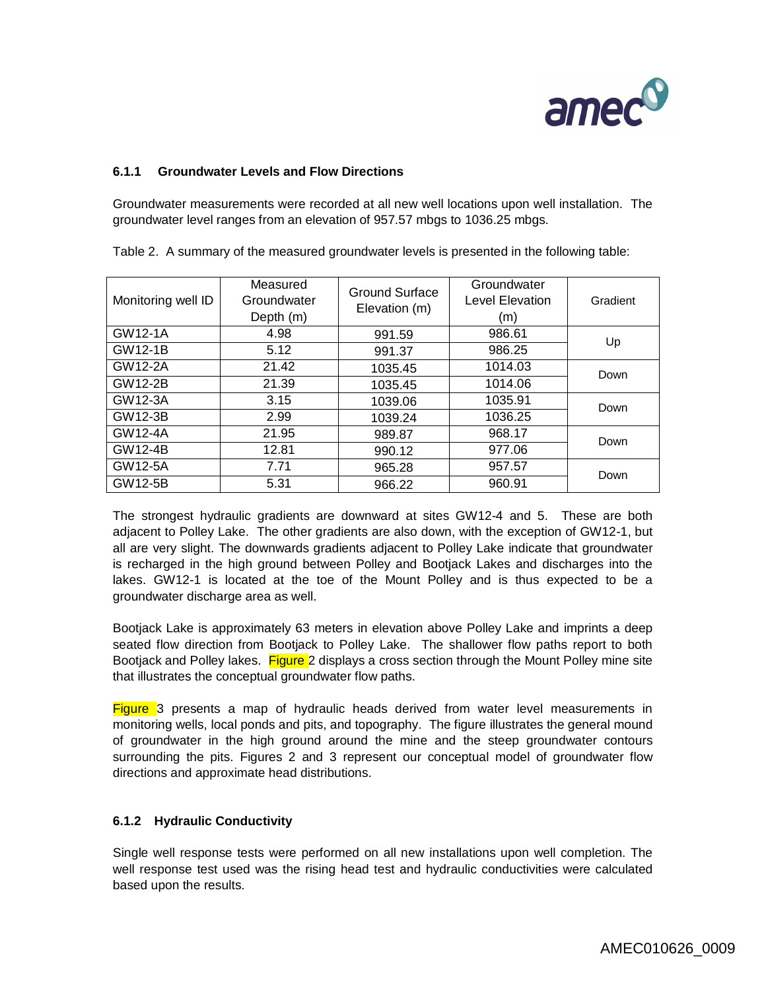

# **6.1.1 Groundwater Levels and Flow Directions**

Groundwater measurements were recorded at all new well locations upon well installation. The groundwater level ranges from an elevation of 957.57 mbgs to 1036.25 mbgs.

| Monitoring well ID | Measured<br>Groundwater<br>Depth (m) | Ground Surface<br>Elevation (m) | Groundwater<br>Level Elevation<br>(m) | Gradient |  |
|--------------------|--------------------------------------|---------------------------------|---------------------------------------|----------|--|
| GW12-1A            | 4.98                                 | 991.59                          | 986.61                                | Up       |  |
| GW12-1B            | 5.12                                 | 991.37                          | 986.25                                |          |  |
| GW12-2A            | 21.42                                | 1035.45                         | 1014.03                               | Down     |  |
| GW12-2B            | 21.39                                | 1035.45                         | 1014.06                               |          |  |
| GW12-3A            | 3.15                                 | 1039.06                         | 1035.91                               | Down     |  |
| GW12-3B            | 2.99                                 | 1039.24                         | 1036.25                               |          |  |
| GW12-4A            | 21.95                                | 989.87                          | 968.17                                | Down     |  |
| GW12-4B            | 12.81                                | 990.12                          | 977.06                                |          |  |
| GW12-5A            | 7.71                                 | 965.28                          | 957.57                                | Down     |  |
| GW12-5B            | 5.31                                 | 966.22                          | 960.91                                |          |  |

Table 2. A summary of the measured groundwater levels is presented in the following table:

The strongest hydraulic gradients are downward at sites GW12-4 and 5. These are both adjacent to Polley Lake. The other gradients are also down, with the exception of GW12-1, but all are very slight. The downwards gradients adjacent to Polley Lake indicate that groundwater is recharged in the high ground between Polley and Bootjack Lakes and discharges into the lakes. GW12-1 is located at the toe of the Mount Polley and is thus expected to be a groundwater discharge area as well.

Bootjack Lake is approximately 63 meters in elevation above Polley Lake and imprints a deep seated flow direction from Bootjack to Polley Lake. The shallower flow paths report to both Bootjack and Polley lakes. Figure 2 displays a cross section through the Mount Polley mine site that illustrates the conceptual groundwater flow paths.

**Figure** 3 presents a map of hydraulic heads derived from water level measurements in monitoring wells, local ponds and pits, and topography. The figure illustrates the general mound of groundwater in the high ground around the mine and the steep groundwater contours surrounding the pits. Figures 2 and 3 represent our conceptual model of groundwater flow directions and approximate head distributions.

## **6.1.2 Hydraulic Conductivity**

Single well response tests were performed on all new installations upon well completion. The well response test used was the rising head test and hydraulic conductivities were calculated based upon the results.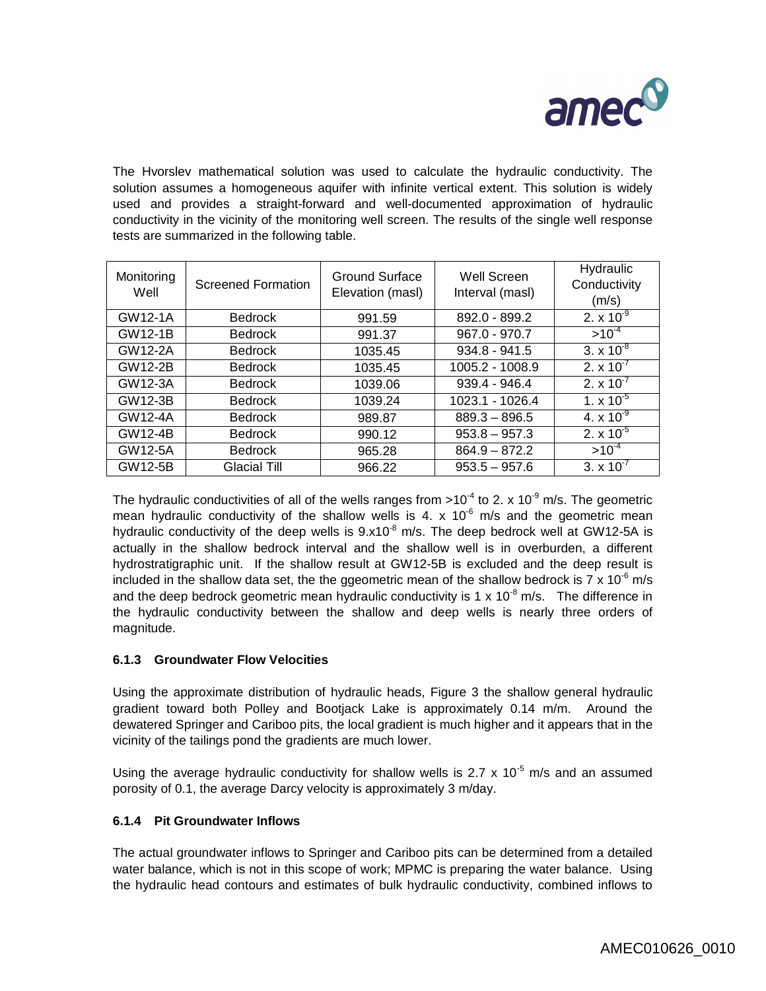

The Hvorslev mathematical solution was used to calculate the hydraulic conductivity. The solution assumes a homogeneous aquifer with infinite vertical extent. This solution is widely used and provides a straight-forward and well-documented approximation of hydraulic conductivity in the vicinity of the monitoring well screen. The results of the single well response tests are summarized in the following table.

| Monitoring<br>Well | <b>Screened Formation</b> | Ground Surface<br>Elevation (masl) | Well Screen<br>Interval (masl) | Hydraulic<br>Conductivity<br>(m/s) |
|--------------------|---------------------------|------------------------------------|--------------------------------|------------------------------------|
| GW12-1A            | <b>Bedrock</b>            | 991.59                             | 892.0 - 899.2                  | 2. $\times 10^{-9}$                |
| <b>GW12-1B</b>     | <b>Bedrock</b>            | 991.37                             | $967.0 - 970.7$                | $>10^{-4}$                         |
| GW12-2A            | <b>Bedrock</b>            | 1035.45                            | $934.8 - 941.5$                | 3. $\times 10^{-8}$                |
| <b>GW12-2B</b>     | <b>Bedrock</b>            | 1035.45                            | 1005.2 - 1008.9                | 2. $\times 10^{-7}$                |
| GW12-3A            | <b>Bedrock</b>            | 1039.06                            | $939.4 - 946.4$                | 2. $\times 10^{-7}$                |
| GW12-3B            | <b>Bedrock</b>            | 1039.24                            | 1023.1 - 1026.4                | 1. $\times$ 10 <sup>-5</sup>       |
| GW12-4A            | <b>Bedrock</b>            | 989.87                             | $889.3 - 896.5$                | 4. $\times 10^{-9}$                |
| GW12-4B            | <b>Bedrock</b>            | 990.12                             | $953.8 - 957.3$                | 2. $\times 10^{-5}$                |
| GW12-5A            | <b>Bedrock</b>            | 965.28                             | $864.9 - 872.2$                | $>10^{-4}$                         |
| GW12-5B            | Glacial Till              | 966.22                             | $953.5 - 957.6$                | 3. $\times 10^{-7}$                |

The hydraulic conductivities of all of the wells ranges from >10<sup>-4</sup> to 2. x 10<sup>-9</sup> m/s. The geometric mean hydraulic conductivity of the shallow wells is 4. x  $10^{-6}$  m/s and the geometric mean hydraulic conductivity of the deep wells is  $9.x10<sup>-8</sup>$  m/s. The deep bedrock well at GW12-5A is actually in the shallow bedrock interval and the shallow well is in overburden, a different hydrostratigraphic unit. If the shallow result at GW12-5B is excluded and the deep result is included in the shallow data set, the the ggeometric mean of the shallow bedrock is 7 x 10<sup>-6</sup> m/s and the deep bedrock geometric mean hydraulic conductivity is 1 x 10<sup>-8</sup> m/s. The difference in the hydraulic conductivity between the shallow and deep wells is nearly three orders of magnitude.

## **6.1.3 Groundwater Flow Velocities**

Using the approximate distribution of hydraulic heads, Figure 3 the shallow general hydraulic gradient toward both Polley and Bootjack Lake is approximately 0.14 m/m. Around the dewatered Springer and Cariboo pits, the local gradient is much higher and it appears that in the vicinity of the tailings pond the gradients are much lower.

Using the average hydraulic conductivity for shallow wells is 2.7 x 10<sup>-5</sup> m/s and an assumed porosity of 0.1, the average Darcy velocity is approximately 3 m/day.

# **6.1.4 Pit Groundwater Inflows**

The actual groundwater inflows to Springer and Cariboo pits can be determined from a detailed water balance, which is not in this scope of work; MPMC is preparing the water balance. Using the hydraulic head contours and estimates of bulk hydraulic conductivity, combined inflows to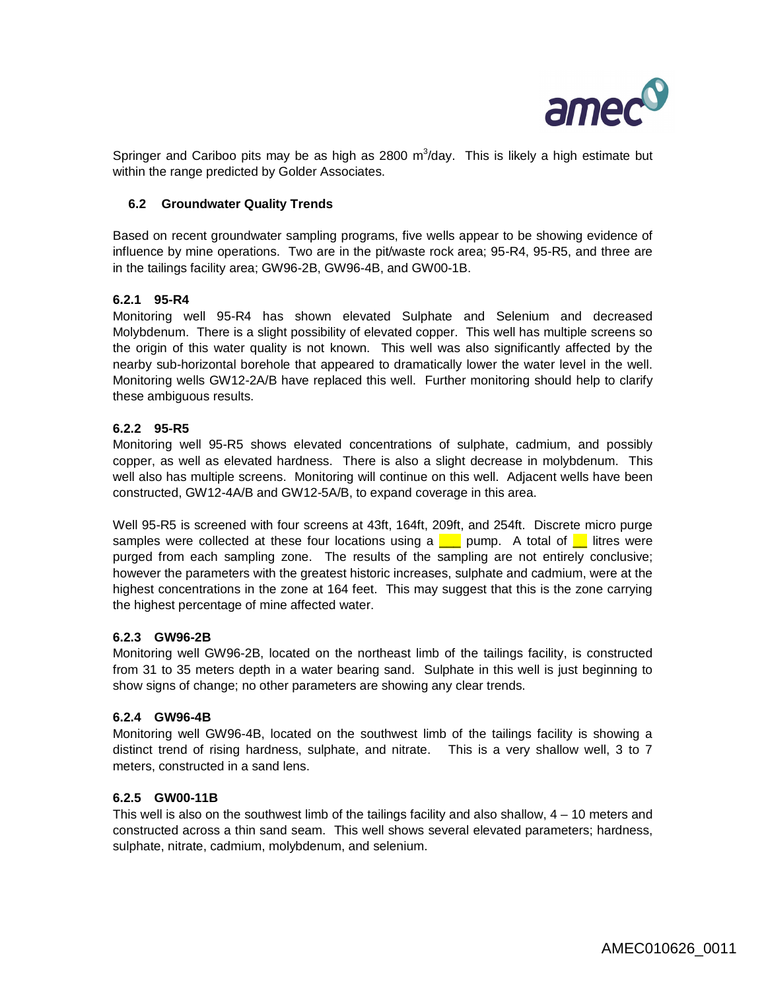

Springer and Cariboo pits may be as high as  $2800 \, \text{m}^3/\text{day}$ . This is likely a high estimate but within the range predicted by Golder Associates.

## **6.2 Groundwater Quality Trends**

Based on recent groundwater sampling programs, five wells appear to be showing evidence of influence by mine operations. Two are in the pit/waste rock area; 95-R4, 95-R5, and three are in the tailings facility area; GW96-2B, GW96-4B, and GW00-1B.

### **6.2.1 95-R4**

Monitoring well 95-R4 has shown elevated Sulphate and Selenium and decreased Molybdenum. There is a slight possibility of elevated copper. This well has multiple screens so the origin of this water quality is not known. This well was also significantly affected by the nearby sub-horizontal borehole that appeared to dramatically lower the water level in the well. Monitoring wells GW12-2A/B have replaced this well. Further monitoring should help to clarify these ambiguous results.

### **6.2.2 95-R5**

Monitoring well 95-R5 shows elevated concentrations of sulphate, cadmium, and possibly copper, as well as elevated hardness. There is also a slight decrease in molybdenum. This well also has multiple screens. Monitoring will continue on this well. Adjacent wells have been constructed, GW12-4A/B and GW12-5A/B, to expand coverage in this area.

Well 95-R5 is screened with four screens at 43ft, 164ft, 209ft, and 254ft. Discrete micro purge samples were collected at these four locations using a  $\Box$  pump. A total of  $\Box$  litres were purged from each sampling zone. The results of the sampling are not entirely conclusive; however the parameters with the greatest historic increases, sulphate and cadmium, were at the highest concentrations in the zone at 164 feet. This may suggest that this is the zone carrying the highest percentage of mine affected water.

#### **6.2.3 GW96-2B**

Monitoring well GW96-2B, located on the northeast limb of the tailings facility, is constructed from 31 to 35 meters depth in a water bearing sand. Sulphate in this well is just beginning to show signs of change; no other parameters are showing any clear trends.

#### **6.2.4 GW96-4B**

Monitoring well GW96-4B, located on the southwest limb of the tailings facility is showing a distinct trend of rising hardness, sulphate, and nitrate. This is a very shallow well, 3 to 7 meters, constructed in a sand lens.

### **6.2.5 GW00-11B**

This well is also on the southwest limb of the tailings facility and also shallow, 4 – 10 meters and constructed across a thin sand seam. This well shows several elevated parameters; hardness, sulphate, nitrate, cadmium, molybdenum, and selenium.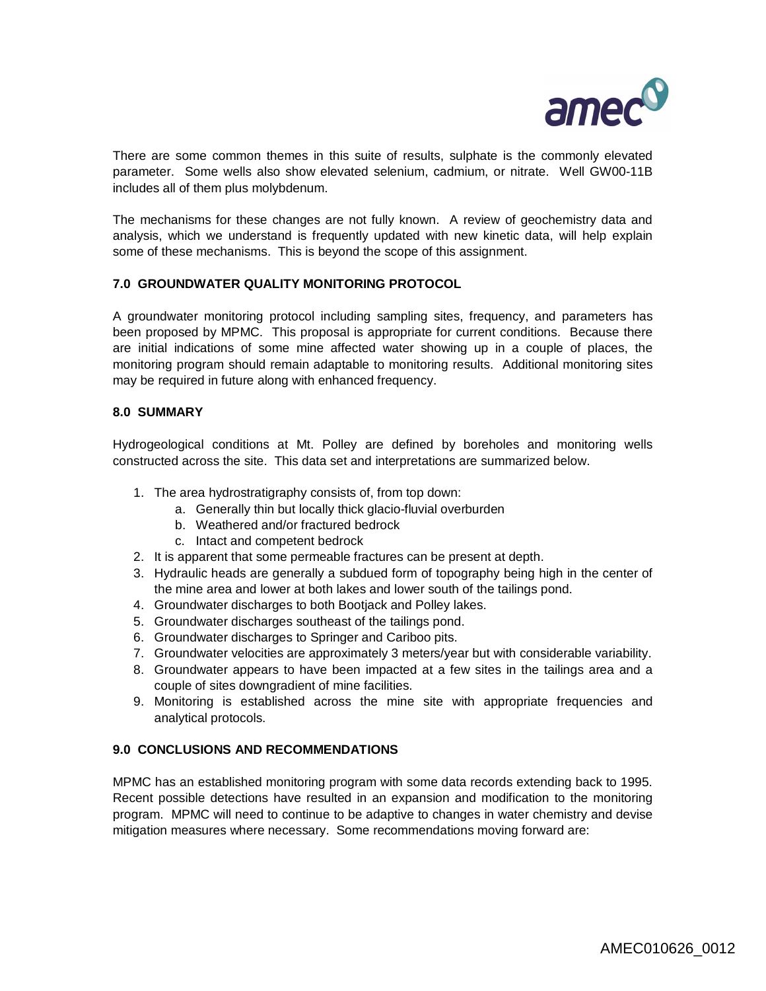

There are some common themes in this suite of results, sulphate is the commonly elevated parameter. Some wells also show elevated selenium, cadmium, or nitrate. Well GW00-11B includes all of them plus molybdenum.

The mechanisms for these changes are not fully known. A review of geochemistry data and analysis, which we understand is frequently updated with new kinetic data, will help explain some of these mechanisms. This is beyond the scope of this assignment.

## **7.0 GROUNDWATER QUALITY MONITORING PROTOCOL**

A groundwater monitoring protocol including sampling sites, frequency, and parameters has been proposed by MPMC. This proposal is appropriate for current conditions. Because there are initial indications of some mine affected water showing up in a couple of places, the monitoring program should remain adaptable to monitoring results. Additional monitoring sites may be required in future along with enhanced frequency.

### **8.0 SUMMARY**

Hydrogeological conditions at Mt. Polley are defined by boreholes and monitoring wells constructed across the site. This data set and interpretations are summarized below.

- 1. The area hydrostratigraphy consists of, from top down:
	- a. Generally thin but locally thick glacio-fluvial overburden
	- b. Weathered and/or fractured bedrock
	- c. Intact and competent bedrock
- 2. It is apparent that some permeable fractures can be present at depth.
- 3. Hydraulic heads are generally a subdued form of topography being high in the center of the mine area and lower at both lakes and lower south of the tailings pond.
- 4. Groundwater discharges to both Bootjack and Polley lakes.
- 5. Groundwater discharges southeast of the tailings pond.
- 6. Groundwater discharges to Springer and Cariboo pits.
- 7. Groundwater velocities are approximately 3 meters/year but with considerable variability.
- 8. Groundwater appears to have been impacted at a few sites in the tailings area and a couple of sites downgradient of mine facilities.
- 9. Monitoring is established across the mine site with appropriate frequencies and analytical protocols.

#### **9.0 CONCLUSIONS AND RECOMMENDATIONS**

MPMC has an established monitoring program with some data records extending back to 1995. Recent possible detections have resulted in an expansion and modification to the monitoring program. MPMC will need to continue to be adaptive to changes in water chemistry and devise mitigation measures where necessary. Some recommendations moving forward are: